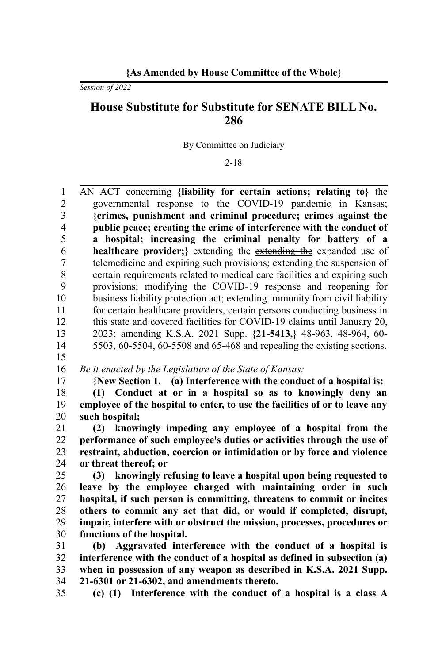## **{As Amended by House Committee of the Whole}**

*Session of 2022*

## **House Substitute for Substitute for SENATE BILL No. 286**

By Committee on Judiciary

2-18

AN ACT concerning **{liability for certain actions; relating to}** the governmental response to the COVID-19 pandemic in Kansas; **{crimes, punishment and criminal procedure; crimes against the public peace; creating the crime of interference with the conduct of a hospital; increasing the criminal penalty for battery of a healthcare provider;**} extending the extending the expanded use of telemedicine and expiring such provisions; extending the suspension of certain requirements related to medical care facilities and expiring such provisions; modifying the COVID-19 response and reopening for business liability protection act; extending immunity from civil liability for certain healthcare providers, certain persons conducting business in this state and covered facilities for COVID-19 claims until January 20, 2023; amending K.S.A. 2021 Supp. **{21-5413,}** 48-963, 48-964, 60- 5503, 60-5504, 60-5508 and 65-468 and repealing the existing sections. 1  $\overline{2}$ 3 4 5 6 7 8  $\mathbf Q$ 10 11  $12$ 13 14

15 17

*Be it enacted by the Legislature of the State of Kansas:* 16

**{New Section 1. (a) Interference with the conduct of a hospital is:**

**(1) Conduct at or in a hospital so as to knowingly deny an employee of the hospital to enter, to use the facilities of or to leave any such hospital;** 18 19 20

**(2) knowingly impeding any employee of a hospital from the performance of such employee's duties or activities through the use of restraint, abduction, coercion or intimidation or by force and violence or threat thereof; or** 21 22 23 24

**(3) knowingly refusing to leave a hospital upon being requested to leave by the employee charged with maintaining order in such hospital, if such person is committing, threatens to commit or incites others to commit any act that did, or would if completed, disrupt, impair, interfere with or obstruct the mission, processes, procedures or functions of the hospital.** 25 26 27 28 29 30

**(b) Aggravated interference with the conduct of a hospital is interference with the conduct of a hospital as defined in subsection (a) when in possession of any weapon as described in K.S.A. 2021 Supp. 21-6301 or 21-6302, and amendments thereto.** 31 32 33 34

35

**(c) (1) Interference with the conduct of a hospital is a class A**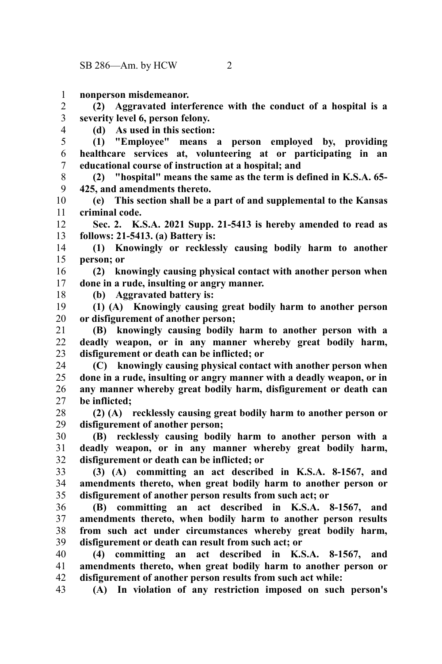**nonperson misdemeanor.** 1

**(2) Aggravated interference with the conduct of a hospital is a severity level 6, person felony.** 2 3

**(d) As used in this section:**

**(1) "Employee" means a person employed by, providing healthcare services at, volunteering at or participating in an educational course of instruction at a hospital; and** 5 6 7

**(2) "hospital" means the same as the term is defined in K.S.A. 65- 425, and amendments thereto.** 8 9

**(e) This section shall be a part of and supplemental to the Kansas criminal code.** 10 11

**Sec. 2. K.S.A. 2021 Supp. 21-5413 is hereby amended to read as follows: 21-5413. (a) Battery is:** 12 13

**(1) Knowingly or recklessly causing bodily harm to another person; or** 14 15

**(2) knowingly causing physical contact with another person when done in a rude, insulting or angry manner.** 16 17

18

4

**(b) Aggravated battery is:**

**(1) (A) Knowingly causing great bodily harm to another person or disfigurement of another person;** 19 20

**(B) knowingly causing bodily harm to another person with a deadly weapon, or in any manner whereby great bodily harm, disfigurement or death can be inflicted; or** 21 22 23

**(C) knowingly causing physical contact with another person when done in a rude, insulting or angry manner with a deadly weapon, or in any manner whereby great bodily harm, disfigurement or death can be inflicted;** 24 25 26 27

**(2) (A) recklessly causing great bodily harm to another person or disfigurement of another person;** 28 29

**(B) recklessly causing bodily harm to another person with a deadly weapon, or in any manner whereby great bodily harm, disfigurement or death can be inflicted; or** 30 31 32

**(3) (A) committing an act described in K.S.A. 8-1567, and amendments thereto, when great bodily harm to another person or disfigurement of another person results from such act; or** 33 34 35

**(B) committing an act described in K.S.A. 8-1567, and amendments thereto, when bodily harm to another person results from such act under circumstances whereby great bodily harm, disfigurement or death can result from such act; or** 36 37 38 39

**(4) committing an act described in K.S.A. 8-1567, and amendments thereto, when great bodily harm to another person or disfigurement of another person results from such act while:** 40 41 42

**(A) In violation of any restriction imposed on such person's** 43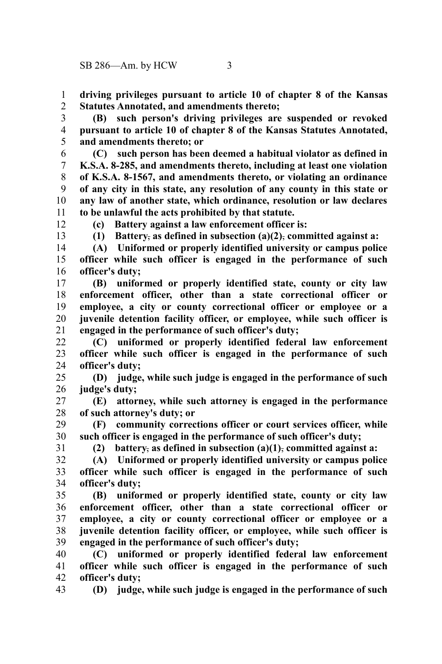**driving privileges pursuant to article 10 of chapter 8 of the Kansas Statutes Annotated, and amendments thereto;** 1 2

**(B) such person's driving privileges are suspended or revoked pursuant to article 10 of chapter 8 of the Kansas Statutes Annotated, and amendments thereto; or** 3 4 5

**(C) such person has been deemed a habitual violator as defined in K.S.A. 8-285, and amendments thereto, including at least one violation of K.S.A. 8-1567, and amendments thereto, or violating an ordinance of any city in this state, any resolution of any county in this state or any law of another state, which ordinance, resolution or law declares to be unlawful the acts prohibited by that statute.** 6 7 8 9 10 11

12

**(c) Battery against a law enforcement officer is:**

13

**(1) Battery**, **as defined in subsection (a)(2)**, **committed against a:**

**(A) Uniformed or properly identified university or campus police officer while such officer is engaged in the performance of such officer's duty;** 14 15 16

**(B) uniformed or properly identified state, county or city law enforcement officer, other than a state correctional officer or employee, a city or county correctional officer or employee or a juvenile detention facility officer, or employee, while such officer is engaged in the performance of such officer's duty;** 17 18 19 20 21

**(C) uniformed or properly identified federal law enforcement officer while such officer is engaged in the performance of such officer's duty;** 22 23 24

**(D) judge, while such judge is engaged in the performance of such judge's duty;** 25 26

**(E) attorney, while such attorney is engaged in the performance of such attorney's duty; or** 27 28

**(F) community corrections officer or court services officer, while such officer is engaged in the performance of such officer's duty;** 29 30

31

**(2) battery**, **as defined in subsection (a)(1)**, **committed against a:**

**(A) Uniformed or properly identified university or campus police officer while such officer is engaged in the performance of such officer's duty;** 32 33 34

**(B) uniformed or properly identified state, county or city law enforcement officer, other than a state correctional officer or employee, a city or county correctional officer or employee or a juvenile detention facility officer, or employee, while such officer is engaged in the performance of such officer's duty;** 35 36 37 38 39

**(C) uniformed or properly identified federal law enforcement officer while such officer is engaged in the performance of such officer's duty;** 40 41 42

**(D) judge, while such judge is engaged in the performance of such** 43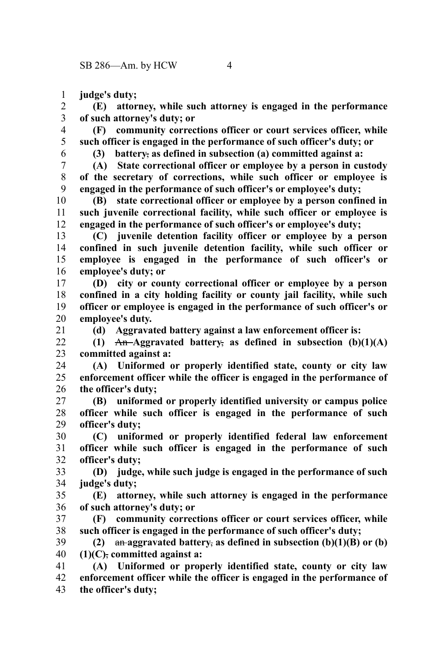**judge's duty;** 1

**(E) attorney, while such attorney is engaged in the performance of such attorney's duty; or** 2 3

**(F) community corrections officer or court services officer, while such officer is engaged in the performance of such officer's duty; or** 4 5

**(3) battery**, **as defined in subsection (a) committed against a:**

**(A) State correctional officer or employee by a person in custody of the secretary of corrections, while such officer or employee is engaged in the performance of such officer's or employee's duty;** 7 8 9

**(B) state correctional officer or employee by a person confined in such juvenile correctional facility, while such officer or employee is engaged in the performance of such officer's or employee's duty;** 10 11 12

**(C) juvenile detention facility officer or employee by a person confined in such juvenile detention facility, while such officer or employee is engaged in the performance of such officer's or employee's duty; or** 13 14 15 16

**(D) city or county correctional officer or employee by a person confined in a city holding facility or county jail facility, while such officer or employee is engaged in the performance of such officer's or employee's duty.** 17 18 19 20

21

**(d) Aggravated battery against a law enforcement officer is:**

**(1)** An **Aggravated battery**, **as defined in subsection (b)(1)(A) committed against a:**  $22$ 23

**(A) Uniformed or properly identified state, county or city law enforcement officer while the officer is engaged in the performance of the officer's duty;** 24 25 26

**(B) uniformed or properly identified university or campus police officer while such officer is engaged in the performance of such officer's duty;** 27 28 29

**(C) uniformed or properly identified federal law enforcement officer while such officer is engaged in the performance of such officer's duty;** 30 31 32

**(D) judge, while such judge is engaged in the performance of such judge's duty;** 33 34

**(E) attorney, while such attorney is engaged in the performance of such attorney's duty; or** 35 36

**(F) community corrections officer or court services officer, while such officer is engaged in the performance of such officer's duty;** 37 38

**(2)** an **aggravated battery**, **as defined in subsection (b)(1)(B) or (b) (1)(C)**, **committed against a:** 39 40

**(A) Uniformed or properly identified state, county or city law enforcement officer while the officer is engaged in the performance of the officer's duty;** 41 42 43

6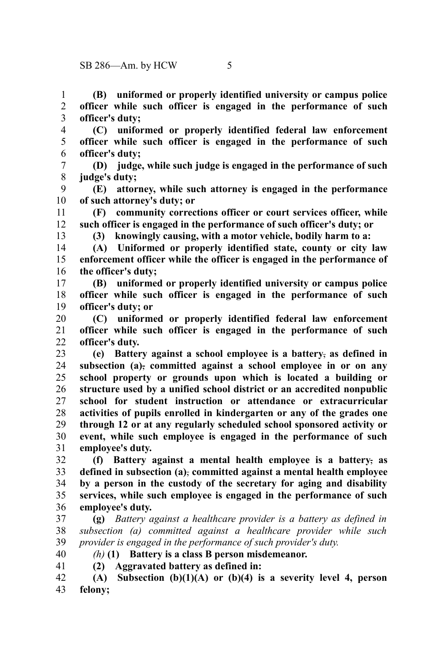**(B) uniformed or properly identified university or campus police officer while such officer is engaged in the performance of such officer's duty;** 1 2 3

- **(C) uniformed or properly identified federal law enforcement officer while such officer is engaged in the performance of such officer's duty;** 4 5 6
- **(D) judge, while such judge is engaged in the performance of such judge's duty;** 7 8
- **(E) attorney, while such attorney is engaged in the performance of such attorney's duty; or** 9 10
- **(F) community corrections officer or court services officer, while such officer is engaged in the performance of such officer's duty; or** 11 12
	- **(3) knowingly causing, with a motor vehicle, bodily harm to a:**
- **(A) Uniformed or properly identified state, county or city law enforcement officer while the officer is engaged in the performance of the officer's duty;** 14 15 16
- **(B) uniformed or properly identified university or campus police officer while such officer is engaged in the performance of such officer's duty; or** 17 18 19
- **(C) uniformed or properly identified federal law enforcement officer while such officer is engaged in the performance of such officer's duty.** 20 21 22
- **(e) Battery against a school employee is a battery**, **as defined in subsection (a)**, **committed against a school employee in or on any school property or grounds upon which is located a building or structure used by a unified school district or an accredited nonpublic school for student instruction or attendance or extracurricular activities of pupils enrolled in kindergarten or any of the grades one through 12 or at any regularly scheduled school sponsored activity or event, while such employee is engaged in the performance of such employee's duty.** 23 24 25 26 27 28 29 30 31
- **(f) Battery against a mental health employee is a battery**, **as defined in subsection (a)**, **committed against a mental health employee by a person in the custody of the secretary for aging and disability services, while such employee is engaged in the performance of such employee's duty.** 32 33 34 35 36
- **(g)** *Battery against a healthcare provider is a battery as defined in subsection (a) committed against a healthcare provider while such provider is engaged in the performance of such provider's duty.* 37 38 39
- 40 41

13

- *(h)* **(1) Battery is a class B person misdemeanor.**
- **(2) Aggravated battery as defined in:**
- **(A) Subsection (b)(1)(A) or (b)(4) is a severity level 4, person felony;** 42 43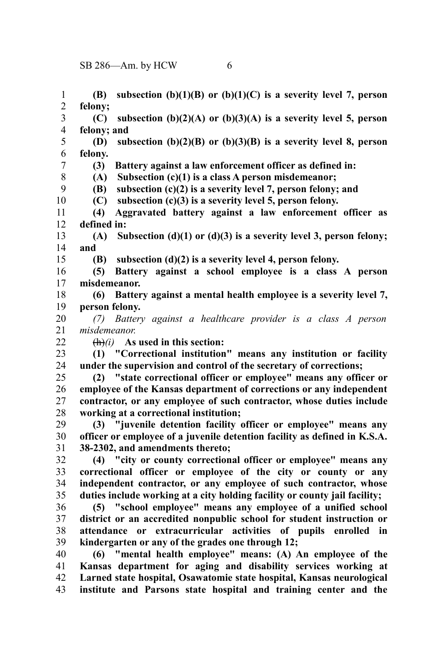**(B) subsection (b)(1)(B) or (b)(1)(C) is a severity level 7, person felony; (C) subsection (b)(2)(A) or (b)(3)(A) is a severity level 5, person felony; and (D) subsection (b)(2)(B) or (b)(3)(B) is a severity level 8, person felony. (3) Battery against a law enforcement officer as defined in: (A) Subsection (c)(1) is a class A person misdemeanor; (B) subsection (c)(2) is a severity level 7, person felony; and (C) subsection (c)(3) is a severity level 5, person felony. (4) Aggravated battery against a law enforcement officer as defined in: (A) Subsection (d)(1) or (d)(3) is a severity level 3, person felony; and (B) subsection (d)(2) is a severity level 4, person felony. (5) Battery against a school employee is a class A person misdemeanor. (6) Battery against a mental health employee is a severity level 7, person felony.** *(7) Battery against a healthcare provider is a class A person misdemeanor.* (h)*(i)* **As used in this section: (1) "Correctional institution" means any institution or facility under the supervision and control of the secretary of corrections; (2) "state correctional officer or employee" means any officer or employee of the Kansas department of corrections or any independent contractor, or any employee of such contractor, whose duties include working at a correctional institution; (3) "juvenile detention facility officer or employee" means any officer or employee of a juvenile detention facility as defined in K.S.A. 38-2302, and amendments thereto; (4) "city or county correctional officer or employee" means any correctional officer or employee of the city or county or any independent contractor, or any employee of such contractor, whose duties include working at a city holding facility or county jail facility; (5) "school employee" means any employee of a unified school district or an accredited nonpublic school for student instruction or attendance or extracurricular activities of pupils enrolled in kindergarten or any of the grades one through 12; (6) "mental health employee" means: (A) An employee of the Kansas department for aging and disability services working at Larned state hospital, Osawatomie state hospital, Kansas neurological institute and Parsons state hospital and training center and the** 1 2 3 4 5 6 7 8 9 10 11 12 13 14 15 16 17 18 19 20 21 22 23 24 25 26 27 28 29 30 31 32 33 34 35 36 37 38 39 40 41 42 43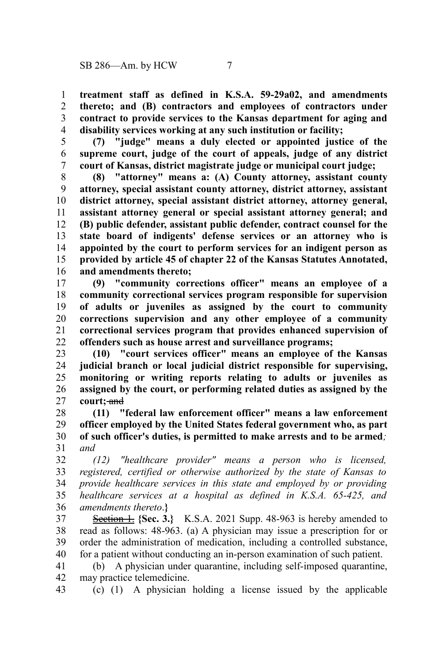**treatment staff as defined in K.S.A. 59-29a02, and amendments thereto; and (B) contractors and employees of contractors under contract to provide services to the Kansas department for aging and disability services working at any such institution or facility;** 1 2 3 4

**(7) "judge" means a duly elected or appointed justice of the supreme court, judge of the court of appeals, judge of any district court of Kansas, district magistrate judge or municipal court judge;** 5 6 7

**(8) "attorney" means a: (A) County attorney, assistant county attorney, special assistant county attorney, district attorney, assistant district attorney, special assistant district attorney, attorney general, assistant attorney general or special assistant attorney general; and (B) public defender, assistant public defender, contract counsel for the state board of indigents' defense services or an attorney who is appointed by the court to perform services for an indigent person as provided by article 45 of chapter 22 of the Kansas Statutes Annotated, and amendments thereto;** 8 9 10 11 12 13 14 15 16

**(9) "community corrections officer" means an employee of a community correctional services program responsible for supervision of adults or juveniles as assigned by the court to community corrections supervision and any other employee of a community correctional services program that provides enhanced supervision of offenders such as house arrest and surveillance programs;** 17 18 19 20 21 22

**(10) "court services officer" means an employee of the Kansas judicial branch or local judicial district responsible for supervising, monitoring or writing reports relating to adults or juveniles as assigned by the court, or performing related duties as assigned by the court;** and 23 24 25 26 27

**(11) "federal law enforcement officer" means a law enforcement officer employed by the United States federal government who, as part of such officer's duties, is permitted to make arrests and to be armed***; and* 28 29 30 31

*(12) "healthcare provider" means a person who is licensed, registered, certified or otherwise authorized by the state of Kansas to provide healthcare services in this state and employed by or providing healthcare services at a hospital as defined in K.S.A. 65-425, and amendments thereto*.**}** 32 33 34 35 36

**Section 1.** {Sec. 3.} K.S.A. 2021 Supp. 48-963 is hereby amended to read as follows: 48-963. (a) A physician may issue a prescription for or order the administration of medication, including a controlled substance, for a patient without conducting an in-person examination of such patient. 37 38 39 40

(b) A physician under quarantine, including self-imposed quarantine, may practice telemedicine. 41 42

(c) (1) A physician holding a license issued by the applicable 43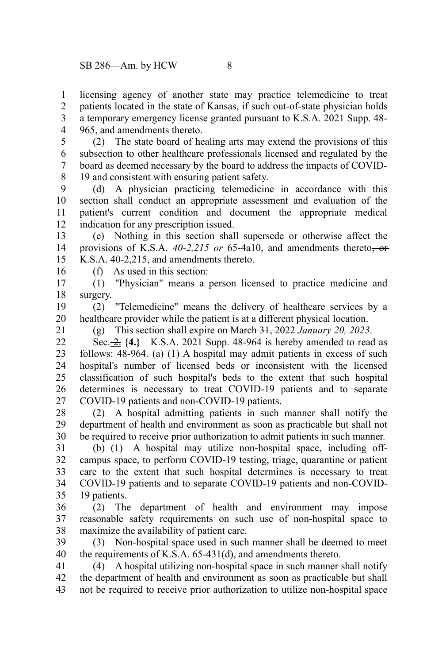licensing agency of another state may practice telemedicine to treat patients located in the state of Kansas, if such out-of-state physician holds a temporary emergency license granted pursuant to K.S.A. 2021 Supp. 48- 965, and amendments thereto. 1 2 3 4

(2) The state board of healing arts may extend the provisions of this subsection to other healthcare professionals licensed and regulated by the board as deemed necessary by the board to address the impacts of COVID-19 and consistent with ensuring patient safety. 5 6 7 8

(d) A physician practicing telemedicine in accordance with this section shall conduct an appropriate assessment and evaluation of the patient's current condition and document the appropriate medical indication for any prescription issued. 9 10 11 12

(e) Nothing in this section shall supersede or otherwise affect the provisions of K.S.A. *40-2,215 or* 65-4a10, and amendments thereto, or K.S.A. 40-2.215, and amendments thereto. 13 14 15

(f) As used in this section:

(1) "Physician" means a person licensed to practice medicine and surgery. 17 18

(2) "Telemedicine" means the delivery of healthcare services by a healthcare provider while the patient is at a different physical location. 19 20

21

16

(g) This section shall expire on March 31, 2022 *January 20, 2023*.

Sec. 2. **{4.}** K.S.A. 2021 Supp. 48-964 is hereby amended to read as follows: 48-964. (a) (1) A hospital may admit patients in excess of such hospital's number of licensed beds or inconsistent with the licensed classification of such hospital's beds to the extent that such hospital determines is necessary to treat COVID-19 patients and to separate COVID-19 patients and non-COVID-19 patients.  $22$ 23 24 25 26 27

(2) A hospital admitting patients in such manner shall notify the department of health and environment as soon as practicable but shall not be required to receive prior authorization to admit patients in such manner. 28 29 30

(b) (1) A hospital may utilize non-hospital space, including offcampus space, to perform COVID-19 testing, triage, quarantine or patient care to the extent that such hospital determines is necessary to treat COVID-19 patients and to separate COVID-19 patients and non-COVID-19 patients. 31 32 33 34 35

(2) The department of health and environment may impose reasonable safety requirements on such use of non-hospital space to maximize the availability of patient care. 36 37 38

(3) Non-hospital space used in such manner shall be deemed to meet the requirements of K.S.A. 65-431(d), and amendments thereto. 39 40

(4) A hospital utilizing non-hospital space in such manner shall notify the department of health and environment as soon as practicable but shall not be required to receive prior authorization to utilize non-hospital space 41 42 43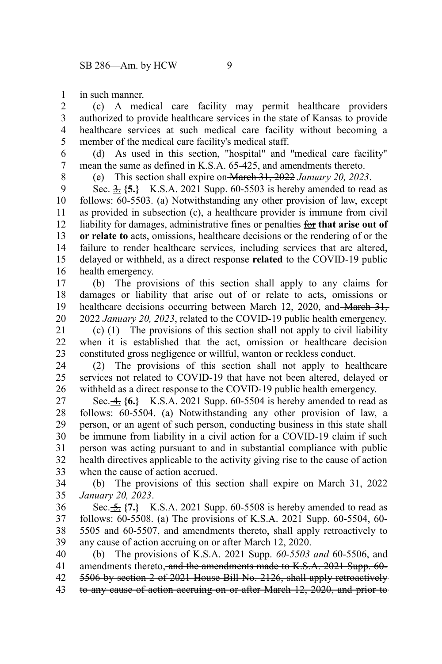in such manner. 1

(c) A medical care facility may permit healthcare providers authorized to provide healthcare services in the state of Kansas to provide healthcare services at such medical care facility without becoming a member of the medical care facility's medical staff. 2 3 4 5

(d) As used in this section, "hospital" and "medical care facility" mean the same as defined in K.S.A. 65-425, and amendments thereto. 6 7

8

(e) This section shall expire on March 31, 2022 *January 20, 2023*.

Sec.  $\frac{3}{25}$  {5.} K.S.A. 2021 Supp. 60-5503 is hereby amended to read as follows: 60-5503. (a) Notwithstanding any other provision of law, except as provided in subsection (c), a healthcare provider is immune from civil liability for damages, administrative fines or penalties for **that arise out of or relate to** acts, omissions, healthcare decisions or the rendering of or the failure to render healthcare services, including services that are altered, delayed or withheld, as a direct response **related** to the COVID-19 public health emergency. 9 10 11 12 13 14 15 16

(b) The provisions of this section shall apply to any claims for damages or liability that arise out of or relate to acts, omissions or healthcare decisions occurring between March 12, 2020, and March 31, 2022 *January 20, 2023*, related to the COVID-19 public health emergency. 17 18 19 20

(c) (1) The provisions of this section shall not apply to civil liability when it is established that the act, omission or healthcare decision constituted gross negligence or willful, wanton or reckless conduct. 21 22 23

(2) The provisions of this section shall not apply to healthcare services not related to COVID-19 that have not been altered, delayed or withheld as a direct response to the COVID-19 public health emergency. 24 25 26

Sec. 4. **{6.}** K.S.A. 2021 Supp. 60-5504 is hereby amended to read as follows: 60-5504. (a) Notwithstanding any other provision of law, a person, or an agent of such person, conducting business in this state shall be immune from liability in a civil action for a COVID-19 claim if such person was acting pursuant to and in substantial compliance with public health directives applicable to the activity giving rise to the cause of action when the cause of action accrued. 27 28 29 30 31 32 33

(b) The provisions of this section shall expire on March 31, 2022 *January 20, 2023*. 34 35

Sec.  $\frac{5}{25}$  {7.} K.S.A. 2021 Supp. 60-5508 is hereby amended to read as follows: 60-5508. (a) The provisions of K.S.A. 2021 Supp. 60-5504, 60- 5505 and 60-5507, and amendments thereto, shall apply retroactively to any cause of action accruing on or after March 12, 2020. 36 37 38 39

(b) The provisions of K.S.A. 2021 Supp. *60-5503 and* 60-5506, and amendments thereto, and the amendments made to K.S.A. 2021 Supp. 60- 5506 by section 2 of 2021 House Bill No. 2126, shall apply retroactively to any cause of action accruing on or after March 12, 2020, and prior to 40 41 42 43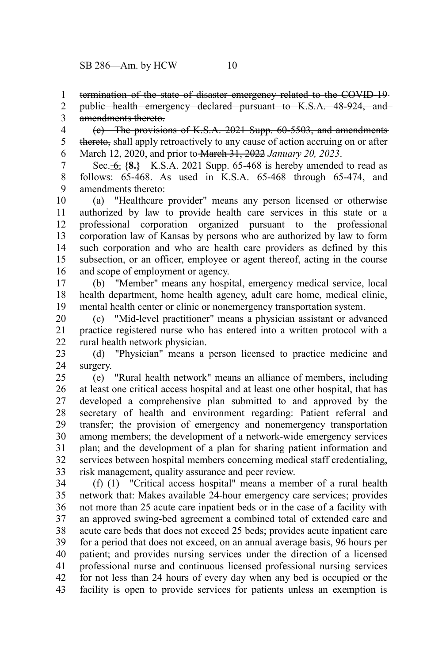termination of the state of disaster emergency related to the COVID-19-1

public health emergency declared pursuant to K.S.A. 48-924, and amendments thereto. 2 3

(c) The provisions of K.S.A. 2021 Supp. 60-5503, and amendments thereto, shall apply retroactively to any cause of action accruing on or after March 12, 2020, and prior to March 31, 2022 *January 20, 2023*. 4 5 6

Sec. 6. **{8.}** K.S.A. 2021 Supp. 65-468 is hereby amended to read as follows: 65-468. As used in K.S.A. 65-468 through 65-474, and amendments thereto: 7 8 9

(a) "Healthcare provider" means any person licensed or otherwise authorized by law to provide health care services in this state or a professional corporation organized pursuant to the professional corporation law of Kansas by persons who are authorized by law to form such corporation and who are health care providers as defined by this subsection, or an officer, employee or agent thereof, acting in the course and scope of employment or agency. 10 11 12 13 14 15 16

(b) "Member" means any hospital, emergency medical service, local health department, home health agency, adult care home, medical clinic, mental health center or clinic or nonemergency transportation system. 17 18 19

(c) "Mid-level practitioner" means a physician assistant or advanced practice registered nurse who has entered into a written protocol with a rural health network physician. 20 21 22

(d) "Physician" means a person licensed to practice medicine and surgery. 23 24

(e) "Rural health network" means an alliance of members, including at least one critical access hospital and at least one other hospital, that has developed a comprehensive plan submitted to and approved by the secretary of health and environment regarding: Patient referral and transfer; the provision of emergency and nonemergency transportation among members; the development of a network-wide emergency services plan; and the development of a plan for sharing patient information and services between hospital members concerning medical staff credentialing, risk management, quality assurance and peer review. 25 26 27 28 29 30 31 32 33

(f) (1) "Critical access hospital" means a member of a rural health network that: Makes available 24-hour emergency care services; provides not more than 25 acute care inpatient beds or in the case of a facility with an approved swing-bed agreement a combined total of extended care and acute care beds that does not exceed 25 beds; provides acute inpatient care for a period that does not exceed, on an annual average basis, 96 hours per patient; and provides nursing services under the direction of a licensed professional nurse and continuous licensed professional nursing services for not less than 24 hours of every day when any bed is occupied or the facility is open to provide services for patients unless an exemption is 34 35 36 37 38 39 40 41 42 43